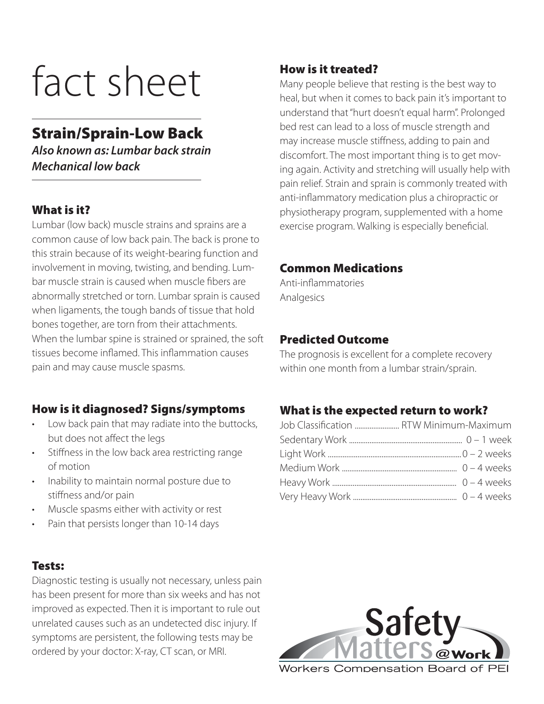# fact sheet

# **Strain/Sprain-Low Back**

*Also known as: Lumbar back strain Mechanical low back*

# **What is it?**

Lumbar (low back) muscle strains and sprains are a common cause of low back pain. The back is prone to this strain because of its weight-bearing function and involvement in moving, twisting, and bending. Lumbar muscle strain is caused when muscle fibers are abnormally stretched or torn. Lumbar sprain is caused when ligaments, the tough bands of tissue that hold bones together, are torn from their attachments. When the lumbar spine is strained or sprained, the soft tissues become inflamed. This inflammation causes pain and may cause muscle spasms.

# **How is it diagnosed? Signs/symptoms**

- Low back pain that may radiate into the buttocks, but does not affect the legs
- Stiffness in the low back area restricting range of motion
- Inability to maintain normal posture due to stiffness and/or pain
- Muscle spasms either with activity or rest
- Pain that persists longer than 10-14 days

# **Tests:**

Diagnostic testing is usually not necessary, unless pain has been present for more than six weeks and has not improved as expected. Then it is important to rule out unrelated causes such as an undetected disc injury. If symptoms are persistent, the following tests may be ordered by your doctor: X-ray, CT scan, or MRI.

# **How is it treated?**

Many people believe that resting is the best way to heal, but when it comes to back pain it's important to understand that "hurt doesn't equal harm". Prolonged bed rest can lead to a loss of muscle strength and may increase muscle stiffness, adding to pain and discomfort. The most important thing is to get moving again. Activity and stretching will usually help with pain relief. Strain and sprain is commonly treated with anti-inflammatory medication plus a chiropractic or physiotherapy program, supplemented with a home exercise program. Walking is especially beneficial.

#### **Common Medications**

Anti-inflammatories Analgesics

#### **Predicted Outcome**

The prognosis is excellent for a complete recovery within one month from a lumbar strain/sprain.

#### **What is the expected return to work?**

| Job Classification  RTW Minimum-Maximum |  |
|-----------------------------------------|--|
|                                         |  |
|                                         |  |
|                                         |  |
|                                         |  |
|                                         |  |